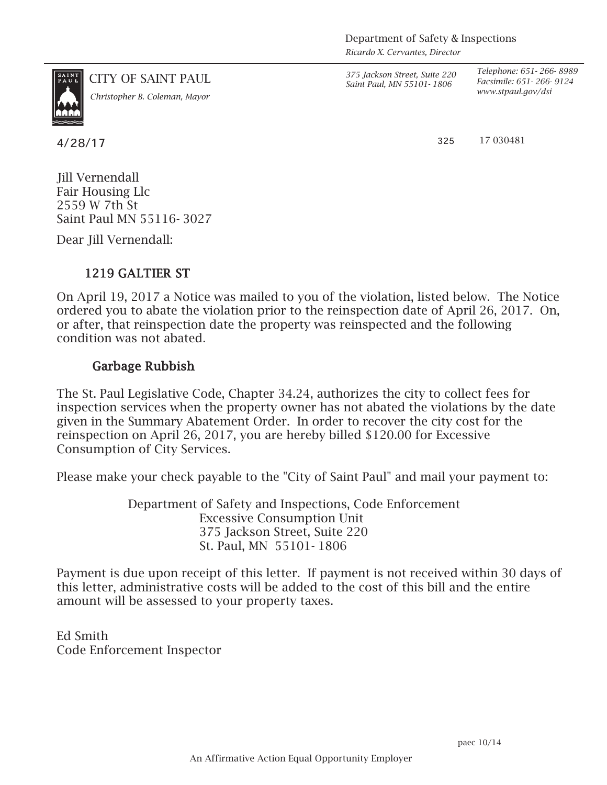*Ricardo X. Cervantes, Director*



*www.stpaul.gov/dsi Christopher B. Coleman, Mayor*

CITY OF SAINT PAUL *375 Jackson Street, Suite 220 Saint Paul, MN 55101- 1806*

*Telephone: 651- 266- 8989 Facsimile: 651- 266- 9124*

 $4/28/17$  325

17 030481

Jill Vernendall Fair Housing Llc 2559 W 7th St Saint Paul MN 55116- 3027

Dear Jill Vernendall:

## 1219 GALTIER ST

On April 19, 2017 a Notice was mailed to you of the violation, listed below. The Notice ordered you to abate the violation prior to the reinspection date of April 26, 2017. On, or after, that reinspection date the property was reinspected and the following condition was not abated.

## Garbage Rubbish

The St. Paul Legislative Code, Chapter 34.24, authorizes the city to collect fees for inspection services when the property owner has not abated the violations by the date given in the Summary Abatement Order. In order to recover the city cost for the reinspection on April 26, 2017, you are hereby billed \$120.00 for Excessive Consumption of City Services.

Please make your check payable to the "City of Saint Paul" and mail your payment to:

Department of Safety and Inspections, Code Enforcement Excessive Consumption Unit 375 Jackson Street, Suite 220 St. Paul, MN 55101- 1806

Payment is due upon receipt of this letter. If payment is not received within 30 days of this letter, administrative costs will be added to the cost of this bill and the entire amount will be assessed to your property taxes.

Ed Smith Code Enforcement Inspector